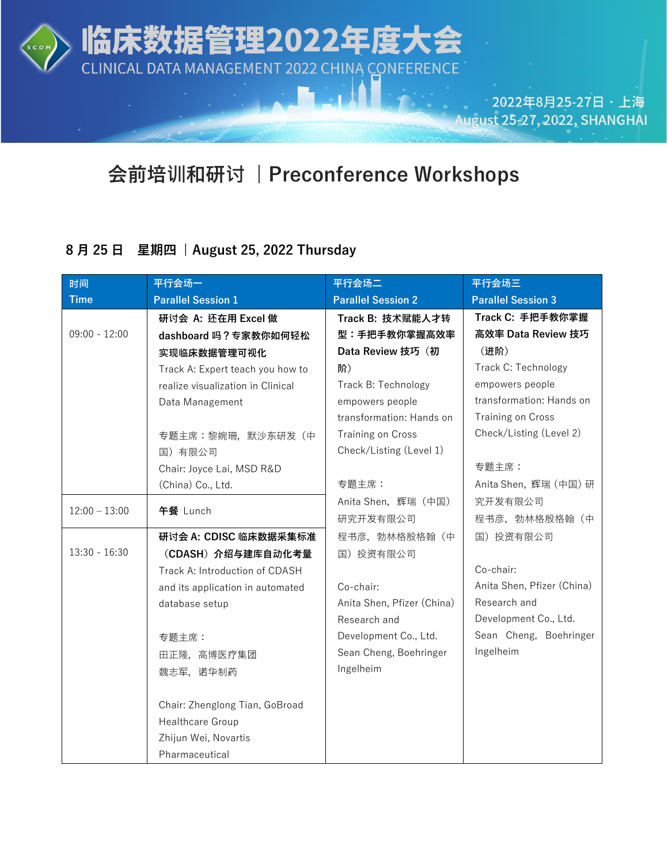

临床

数据管理2022年度フ

CLINICAL DATA MANAGEMENT 2022 CHINA CONFERENCE

2022年8月25-27日 · 上海 August 25-27, 2022, SHANGHAI

## **会前培训和研讨 | Preconference Workshops**

### **8 月 25 日 星期四 | August 25, 2022 Thursday**

| 时间              | 平行会场一                             | 平行会场二                      | 平行会场三                      |
|-----------------|-----------------------------------|----------------------------|----------------------------|
| <b>Time</b>     | <b>Parallel Session 1</b>         | <b>Parallel Session 2</b>  | <b>Parallel Session 3</b>  |
|                 | 研讨会 A: 还在用 Excel 做                | Track B: 技术赋能人才转           | Track C: 手把手教你掌握           |
| $09:00 - 12:00$ | dashboard 吗?专家教你如何轻松              | 型:手把手教你掌握高效率               | 高效率 Data Review 技巧         |
|                 | 实现临床数据管理可视化                       | Data Review 技巧 (初          | (进阶)                       |
|                 | Track A: Expert teach you how to  | 阶)                         | Track C: Technology        |
|                 | realize visualization in Clinical | Track B: Technology        | empowers people            |
|                 | Data Management                   | empowers people            | transformation: Hands on   |
|                 |                                   | transformation: Hands on   | Training on Cross          |
|                 | 专题主席:黎婉珊, 默沙东研发 (中                | Training on Cross          | Check/Listing (Level 2)    |
|                 | 国) 有限公司                           | Check/Listing (Level 1)    |                            |
|                 | Chair: Joyce Lai, MSD R&D         |                            | 专题主席:                      |
|                 | (China) Co., Ltd.                 | 专题主席:                      | Anita Shen, 辉瑞 (中国) 研      |
| $12:00 - 13:00$ | 午餐 Lunch                          | Anita Shen, 辉瑞 (中国)        | 究开发有限公司                    |
|                 |                                   | 研究开发有限公司                   | 程书彦, 勃林格殷格翰 (中             |
|                 | 研讨会 A: CDISC 临床数据采集标准             | 程书彦, 勃林格殷格翰 (中             | 国) 投资有限公司                  |
| $13:30 - 16:30$ | (CDASH) 介绍与建库自动化考量                | 国) 投资有限公司                  |                            |
|                 | Track A: Introduction of CDASH    |                            | Co-chair:                  |
|                 | and its application in automated  | Co-chair:                  | Anita Shen, Pfizer (China) |
|                 | database setup                    | Anita Shen, Pfizer (China) | Research and               |
|                 |                                   | Research and               | Development Co., Ltd.      |
|                 | 专题主席:                             | Development Co., Ltd.      | Sean Cheng, Boehringer     |
|                 | 田正隆, 高博医疗集团                       | Sean Cheng, Boehringer     | Ingelheim                  |
|                 | 魏志军,诺华制药                          | Ingelheim                  |                            |
|                 |                                   |                            |                            |
|                 | Chair: Zhenglong Tian, GoBroad    |                            |                            |
|                 | Healthcare Group                  |                            |                            |
|                 | Zhijun Wei, Novartis              |                            |                            |
|                 | Pharmaceutical                    |                            |                            |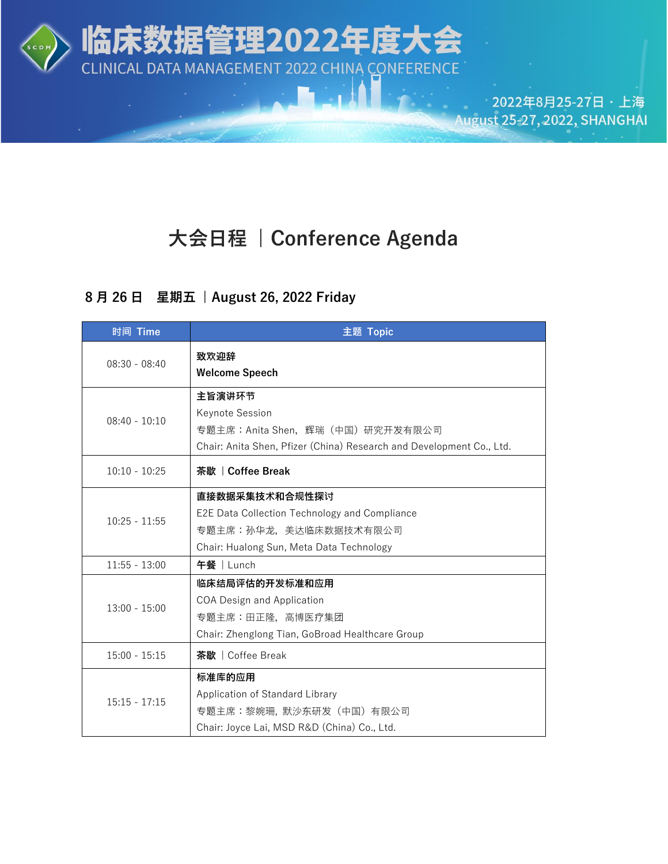

# **大会日程 | Conference Agenda**

### **8 月 26 日 星期五 | August 26, 2022 Friday**

| 时间 Time         | 主题 Topic                                                                                                                                |
|-----------------|-----------------------------------------------------------------------------------------------------------------------------------------|
| $08:30 - 08:40$ | 致欢迎辞<br><b>Welcome Speech</b>                                                                                                           |
| $08:40 - 10:10$ | 主旨演讲环节<br>Keynote Session<br>专题主席: Anita Shen, 辉瑞 (中国) 研究开发有限公司<br>Chair: Anita Shen, Pfizer (China) Research and Development Co., Ltd. |
| $10:10 - 10:25$ | 茶歇   Coffee Break                                                                                                                       |
| $10:25 - 11:55$ | 直接数据采集技术和合规性探讨<br>E2E Data Collection Technology and Compliance<br>专题主席:孙华龙,美达临床数据技术有限公司<br>Chair: Hualong Sun, Meta Data Technology    |
| $11:55 - 13:00$ | 午餐   Lunch                                                                                                                              |
| $13:00 - 15:00$ | 临床结局评估的开发标准和应用<br>COA Design and Application<br>专题主席:田正隆, 高博医疗集团<br>Chair: Zhenglong Tian, GoBroad Healthcare Group                     |
| $15:00 - 15:15$ | 茶歇   Coffee Break                                                                                                                       |
| $15:15 - 17:15$ | 标准库的应用<br>Application of Standard Library<br>专题主席:黎婉珊,默沙东研发 (中国) 有限公司<br>Chair: Joyce Lai, MSD R&D (China) Co., Ltd.                    |